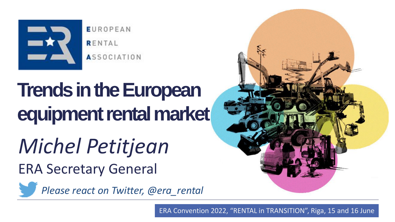

**EUROPEAN** RENTAL **ASSOCIATION** 

# **Trends in the European equipment rental market**

*Michel Petitjean* ERA Secretary General



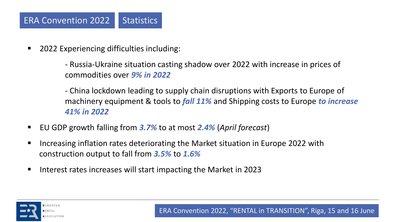■ 2022 Experiencing difficulties including:

- Russia-Ukraine situation casting shadow over 2022 with increase in prices of commodities over *9% in 2022*

- China lockdown leading to supply chain disruptions with Exports to Europe of machinery equipment & tools to *fall 11%* and Shipping costs to Europe *to increase 41% in 2022*
- EU GDP growth falling from 3.7% to at most 2.4% (*April forecast*)
- Increasing inflation rates deteriorating the Market situation in Europe 2022 with construction output to fall from *3.5%* to *1.6%*
- Interest rates increases will start impacting the Market in 2023

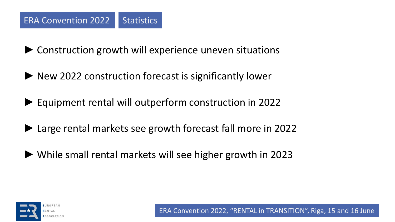► Construction growth will experience uneven situations

- ► New 2022 construction forecast is significantly lower
- ► Equipment rental will outperform construction in 2022
- ► Large rental markets see growth forecast fall more in 2022
- ► While small rental markets will see higher growth in 2023

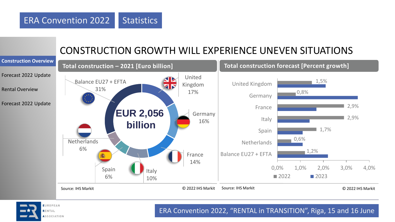## CONSTRUCTION GROWTH WILL EXPERIENCE UNEVEN SITUATIONS





RENTAL ASSOCIATION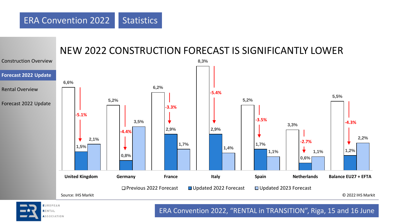#### NEW 2022 CONSTRUCTION FORECAST IS SIGNIFICANTLY LOWER



RENTAL ASSOCIATION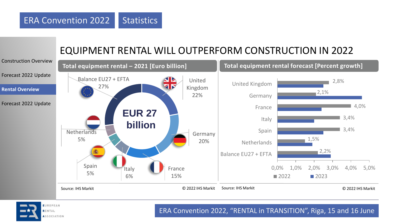## EQUIPMENT RENTAL WILL OUTPERFORM CONSTRUCTION IN 2022





ASSOCIATION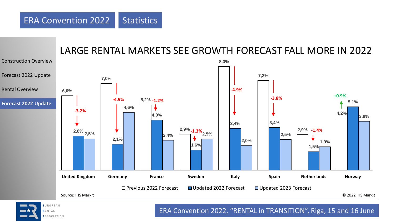

#### ERA Convention 2022, "RENTAL in TRANSITION", Riga, 15 and 16 June

ASSOCIATION

RENTAL